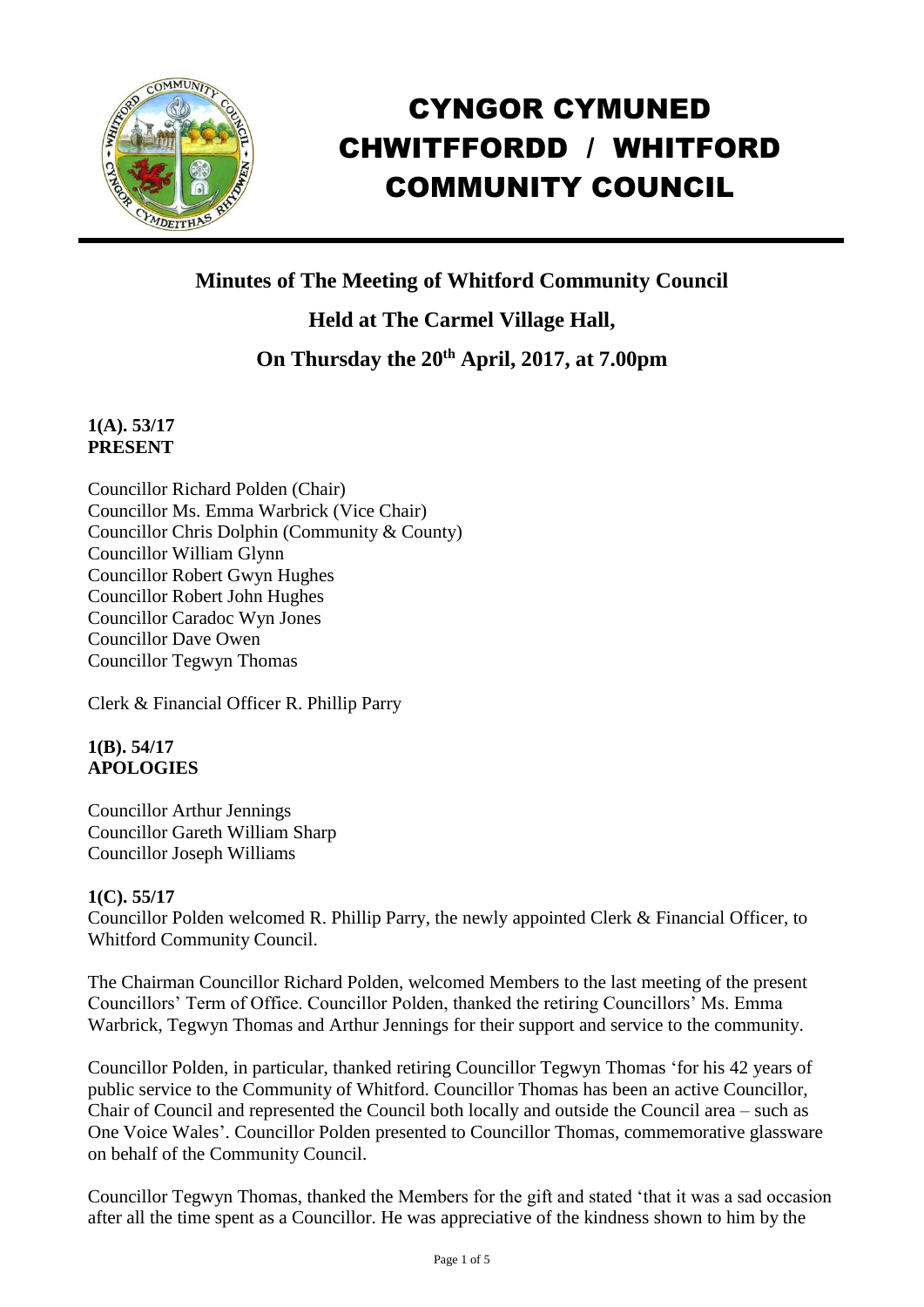

# CYNGOR CYMUNED CHWITFFORDD / WHITFORD COMMUNITY COUNCIL

# **Minutes of The Meeting of Whitford Community Council**

**Held at The Carmel Village Hall, On Thursday the 20th April, 2017, at 7.00pm**

## **1(A). 53/17 PRESENT**

Councillor Richard Polden (Chair) Councillor Ms. Emma Warbrick (Vice Chair) Councillor Chris Dolphin (Community & County) Councillor William Glynn Councillor Robert Gwyn Hughes Councillor Robert John Hughes Councillor Caradoc Wyn Jones Councillor Dave Owen Councillor Tegwyn Thomas

Clerk & Financial Officer R. Phillip Parry

## **1(B). 54/17 APOLOGIES**

Councillor Arthur Jennings Councillor Gareth William Sharp Councillor Joseph Williams

## **1(C). 55/17**

Councillor Polden welcomed R. Phillip Parry, the newly appointed Clerk & Financial Officer, to Whitford Community Council.

The Chairman Councillor Richard Polden, welcomed Members to the last meeting of the present Councillors' Term of Office. Councillor Polden, thanked the retiring Councillors' Ms. Emma Warbrick, Tegwyn Thomas and Arthur Jennings for their support and service to the community.

Councillor Polden, in particular, thanked retiring Councillor Tegwyn Thomas 'for his 42 years of public service to the Community of Whitford. Councillor Thomas has been an active Councillor, Chair of Council and represented the Council both locally and outside the Council area – such as One Voice Wales'. Councillor Polden presented to Councillor Thomas, commemorative glassware on behalf of the Community Council.

Councillor Tegwyn Thomas, thanked the Members for the gift and stated 'that it was a sad occasion after all the time spent as a Councillor. He was appreciative of the kindness shown to him by the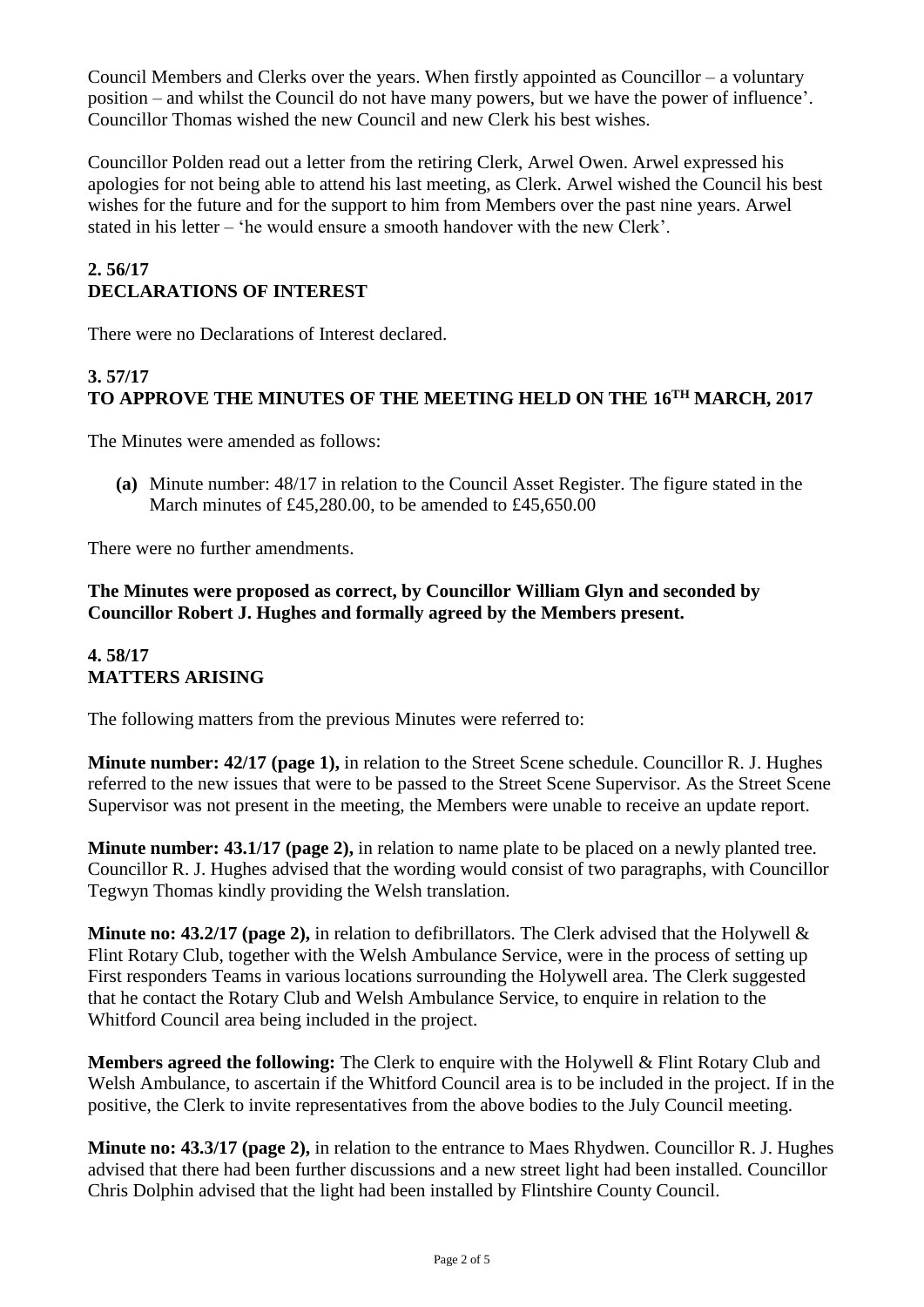Council Members and Clerks over the years. When firstly appointed as Councillor – a voluntary position – and whilst the Council do not have many powers, but we have the power of influence'. Councillor Thomas wished the new Council and new Clerk his best wishes.

Councillor Polden read out a letter from the retiring Clerk, Arwel Owen. Arwel expressed his apologies for not being able to attend his last meeting, as Clerk. Arwel wished the Council his best wishes for the future and for the support to him from Members over the past nine years. Arwel stated in his letter – 'he would ensure a smooth handover with the new Clerk'.

## **2. 56/17 DECLARATIONS OF INTEREST**

There were no Declarations of Interest declared.

# **3. 57/17 TO APPROVE THE MINUTES OF THE MEETING HELD ON THE 16TH MARCH, 2017**

The Minutes were amended as follows:

**(a)** Minute number: 48/17 in relation to the Council Asset Register. The figure stated in the March minutes of £45,280,00, to be amended to £45,650,00

There were no further amendments.

**The Minutes were proposed as correct, by Councillor William Glyn and seconded by Councillor Robert J. Hughes and formally agreed by the Members present.**

## **4. 58/17 MATTERS ARISING**

The following matters from the previous Minutes were referred to:

**Minute number: 42/17 (page 1),** in relation to the Street Scene schedule. Councillor R. J. Hughes referred to the new issues that were to be passed to the Street Scene Supervisor. As the Street Scene Supervisor was not present in the meeting, the Members were unable to receive an update report.

**Minute number: 43.1/17 (page 2),** in relation to name plate to be placed on a newly planted tree. Councillor R. J. Hughes advised that the wording would consist of two paragraphs, with Councillor Tegwyn Thomas kindly providing the Welsh translation.

**Minute no: 43.2/17 (page 2),** in relation to defibrillators. The Clerk advised that the Holywell & Flint Rotary Club, together with the Welsh Ambulance Service, were in the process of setting up First responders Teams in various locations surrounding the Holywell area. The Clerk suggested that he contact the Rotary Club and Welsh Ambulance Service, to enquire in relation to the Whitford Council area being included in the project.

**Members agreed the following:** The Clerk to enquire with the Holywell & Flint Rotary Club and Welsh Ambulance, to ascertain if the Whitford Council area is to be included in the project. If in the positive, the Clerk to invite representatives from the above bodies to the July Council meeting.

**Minute no: 43.3/17 (page 2),** in relation to the entrance to Maes Rhydwen. Councillor R. J. Hughes advised that there had been further discussions and a new street light had been installed. Councillor Chris Dolphin advised that the light had been installed by Flintshire County Council.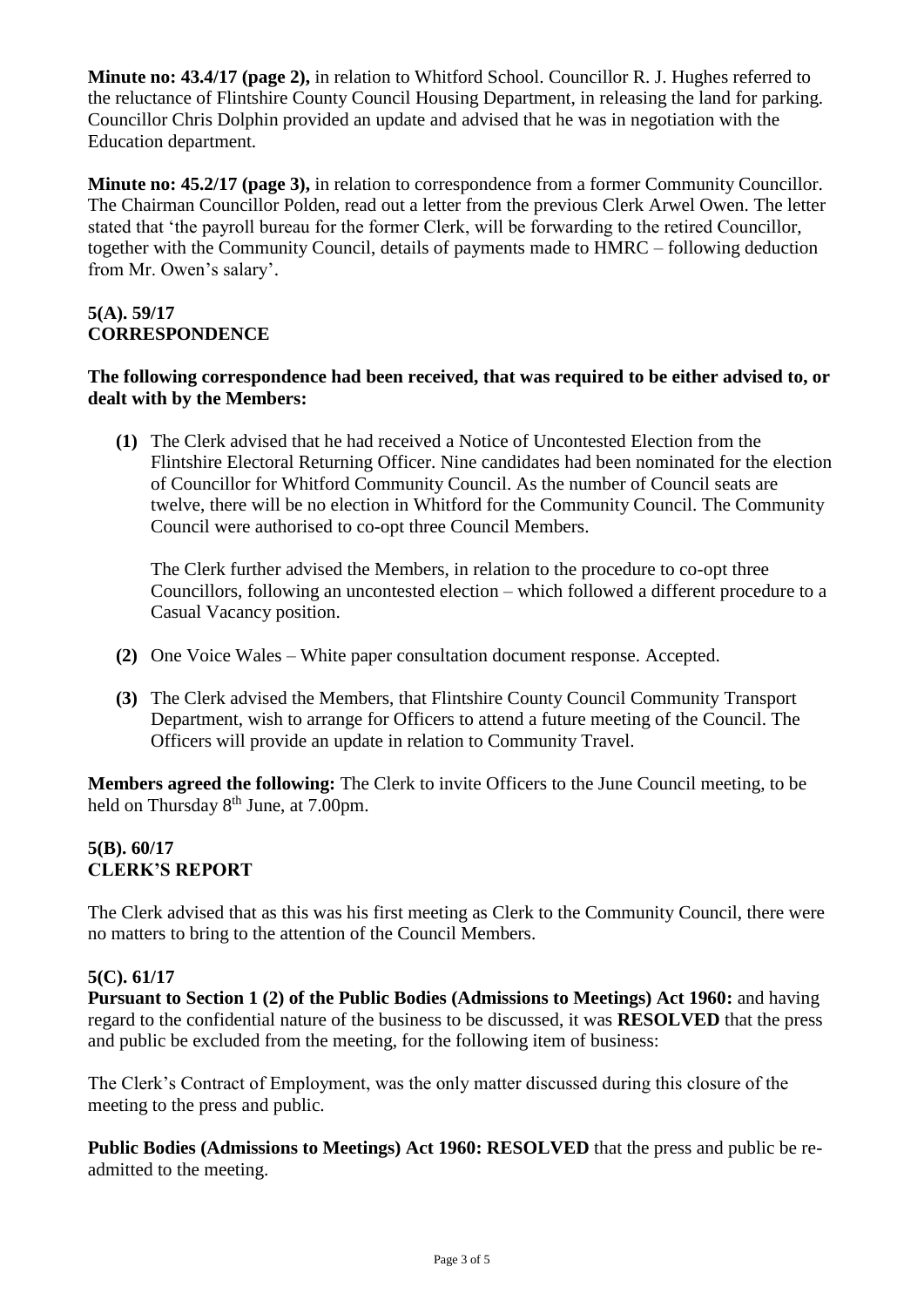**Minute no: 43.4/17 (page 2),** in relation to Whitford School. Councillor R. J. Hughes referred to the reluctance of Flintshire County Council Housing Department, in releasing the land for parking. Councillor Chris Dolphin provided an update and advised that he was in negotiation with the Education department.

**Minute no: 45.2/17 (page 3),** in relation to correspondence from a former Community Councillor. The Chairman Councillor Polden, read out a letter from the previous Clerk Arwel Owen. The letter stated that 'the payroll bureau for the former Clerk, will be forwarding to the retired Councillor, together with the Community Council, details of payments made to HMRC – following deduction from Mr. Owen's salary'.

#### **5(A). 59/17 CORRESPONDENCE**

#### **The following correspondence had been received, that was required to be either advised to, or dealt with by the Members:**

**(1)** The Clerk advised that he had received a Notice of Uncontested Election from the Flintshire Electoral Returning Officer. Nine candidates had been nominated for the election of Councillor for Whitford Community Council. As the number of Council seats are twelve, there will be no election in Whitford for the Community Council. The Community Council were authorised to co-opt three Council Members.

The Clerk further advised the Members, in relation to the procedure to co-opt three Councillors, following an uncontested election – which followed a different procedure to a Casual Vacancy position.

- **(2)** One Voice Wales White paper consultation document response. Accepted.
- **(3)** The Clerk advised the Members, that Flintshire County Council Community Transport Department, wish to arrange for Officers to attend a future meeting of the Council. The Officers will provide an update in relation to Community Travel.

**Members agreed the following:** The Clerk to invite Officers to the June Council meeting, to be held on Thursday 8<sup>th</sup> June, at 7.00pm.

## **5(B). 60/17 CLERK'S REPORT**

The Clerk advised that as this was his first meeting as Clerk to the Community Council, there were no matters to bring to the attention of the Council Members.

## **5(C). 61/17**

**Pursuant to Section 1 (2) of the Public Bodies (Admissions to Meetings) Act 1960:** and having regard to the confidential nature of the business to be discussed, it was **RESOLVED** that the press and public be excluded from the meeting, for the following item of business:

The Clerk's Contract of Employment, was the only matter discussed during this closure of the meeting to the press and public.

**Public Bodies (Admissions to Meetings) Act 1960: RESOLVED** that the press and public be readmitted to the meeting.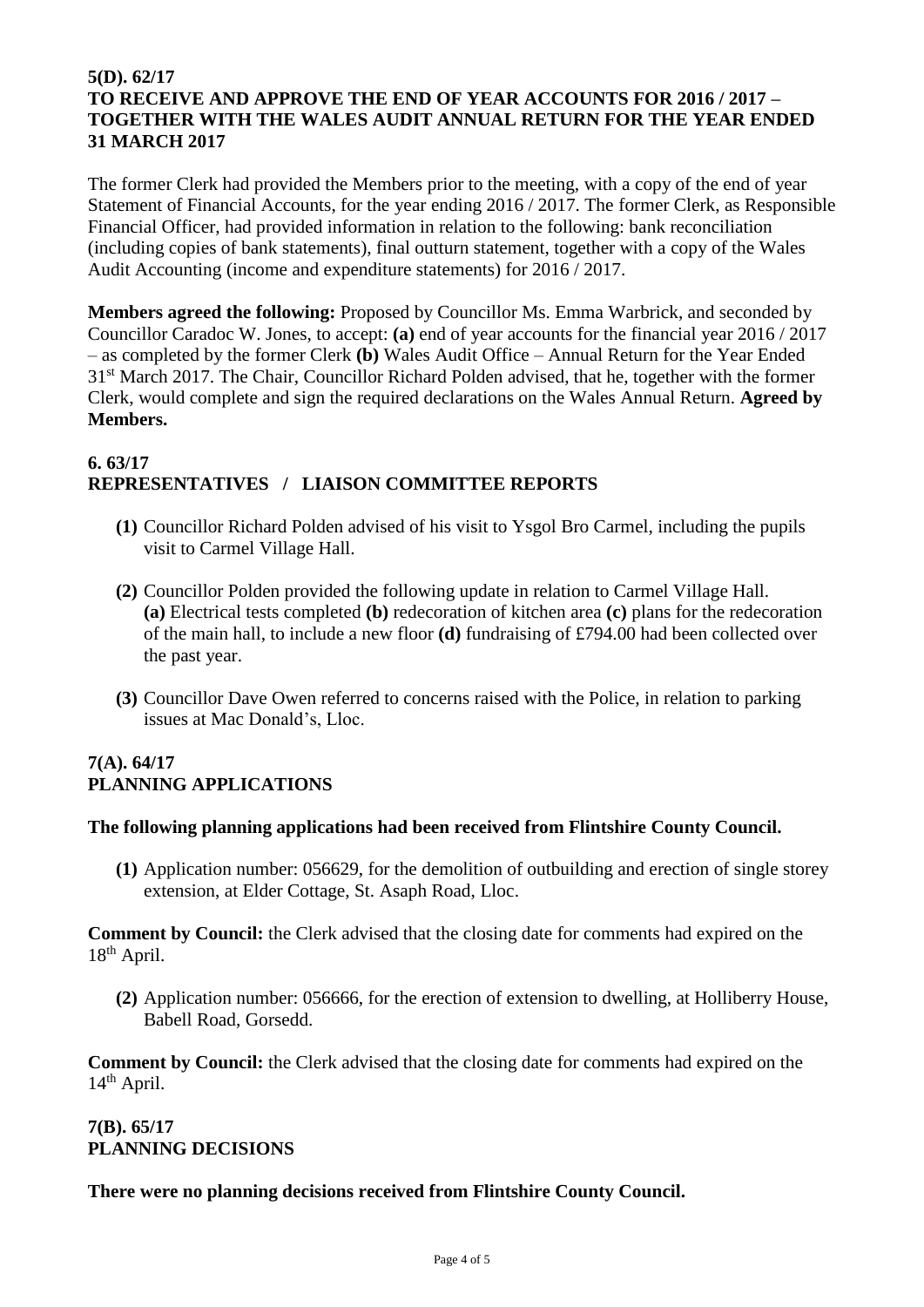#### **5(D). 62/17 TO RECEIVE AND APPROVE THE END OF YEAR ACCOUNTS FOR 2016 / 2017 – TOGETHER WITH THE WALES AUDIT ANNUAL RETURN FOR THE YEAR ENDED 31 MARCH 2017**

The former Clerk had provided the Members prior to the meeting, with a copy of the end of year Statement of Financial Accounts, for the year ending 2016 / 2017. The former Clerk, as Responsible Financial Officer, had provided information in relation to the following: bank reconciliation (including copies of bank statements), final outturn statement, together with a copy of the Wales Audit Accounting (income and expenditure statements) for 2016 / 2017.

**Members agreed the following:** Proposed by Councillor Ms. Emma Warbrick, and seconded by Councillor Caradoc W. Jones, to accept: **(a)** end of year accounts for the financial year 2016 / 2017 – as completed by the former Clerk **(b)** Wales Audit Office – Annual Return for the Year Ended 31<sup>st</sup> March 2017. The Chair, Councillor Richard Polden advised, that he, together with the former Clerk, would complete and sign the required declarations on the Wales Annual Return. **Agreed by Members.**

## **6. 63/17 REPRESENTATIVES / LIAISON COMMITTEE REPORTS**

- **(1)** Councillor Richard Polden advised of his visit to Ysgol Bro Carmel, including the pupils visit to Carmel Village Hall.
- **(2)** Councillor Polden provided the following update in relation to Carmel Village Hall. **(a)** Electrical tests completed **(b)** redecoration of kitchen area **(c)** plans for the redecoration of the main hall, to include a new floor **(d)** fundraising of £794.00 had been collected over the past year.
- **(3)** Councillor Dave Owen referred to concerns raised with the Police, in relation to parking issues at Mac Donald's, Lloc.

## **7(A). 64/17 PLANNING APPLICATIONS**

#### **The following planning applications had been received from Flintshire County Council.**

**(1)** Application number: 056629, for the demolition of outbuilding and erection of single storey extension, at Elder Cottage, St. Asaph Road, Lloc.

**Comment by Council:** the Clerk advised that the closing date for comments had expired on the 18<sup>th</sup> April.

**(2)** Application number: 056666, for the erection of extension to dwelling, at Holliberry House, Babell Road, Gorsedd.

**Comment by Council:** the Clerk advised that the closing date for comments had expired on the 14th April.

## **7(B). 65/17 PLANNING DECISIONS**

#### **There were no planning decisions received from Flintshire County Council.**